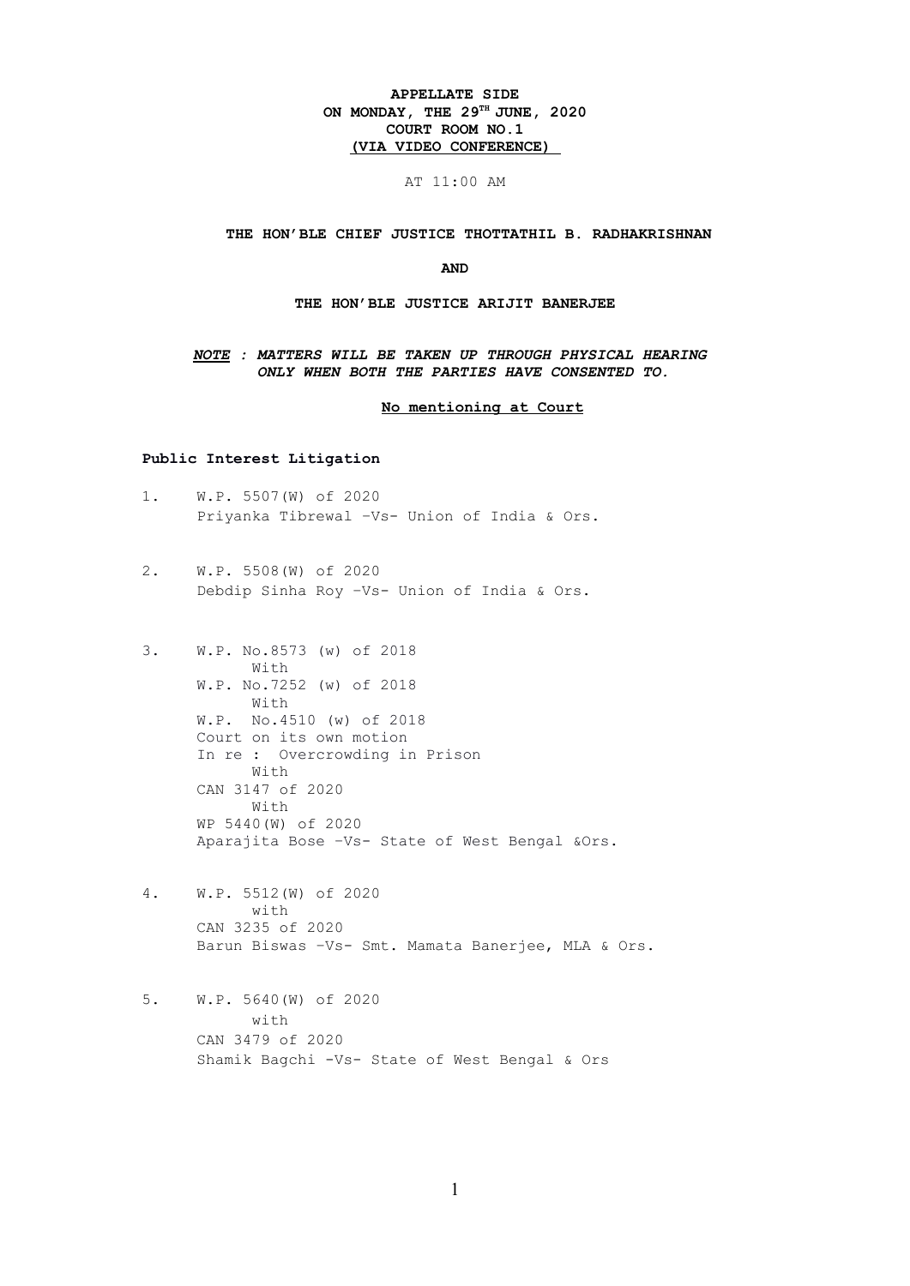# **APPELLATE SIDE ON MONDAY, THE 29TH JUNE, 2020 COURT ROOM NO.1 (VIA VIDEO CONFERENCE)**

# AT 11:00 AM

#### **THE HON'BLE CHIEF JUSTICE THOTTATHIL B. RADHAKRISHNAN**

#### **AND**

#### **THE HON'BLE JUSTICE ARIJIT BANERJEE**

### *NOTE : MATTERS WILL BE TAKEN UP THROUGH PHYSICAL HEARING ONLY WHEN BOTH THE PARTIES HAVE CONSENTED TO.*

 **No mentioning at Court**

# **Public Interest Litigation**

- 1. W.P. 5507(W) of 2020 Priyanka Tibrewal –Vs- Union of India & Ors.
- 2. W.P. 5508(W) of 2020 Debdip Sinha Roy –Vs- Union of India & Ors.
- 3. W.P. No.8573 (w) of 2018 With W.P. No.7252 (w) of 2018 With W.P. No.4510 (w) of 2018 Court on its own motion In re : Overcrowding in Prison With CAN 3147 of 2020 With WP 5440(W) of 2020 Aparajita Bose –Vs- State of West Bengal &Ors.
- 4. W.P. 5512(W) of 2020 with CAN 3235 of 2020 Barun Biswas –Vs- Smt. Mamata Banerjee, MLA & Ors.
- 5. W.P. 5640(W) of 2020 with CAN 3479 of 2020 Shamik Bagchi -Vs- State of West Bengal & Ors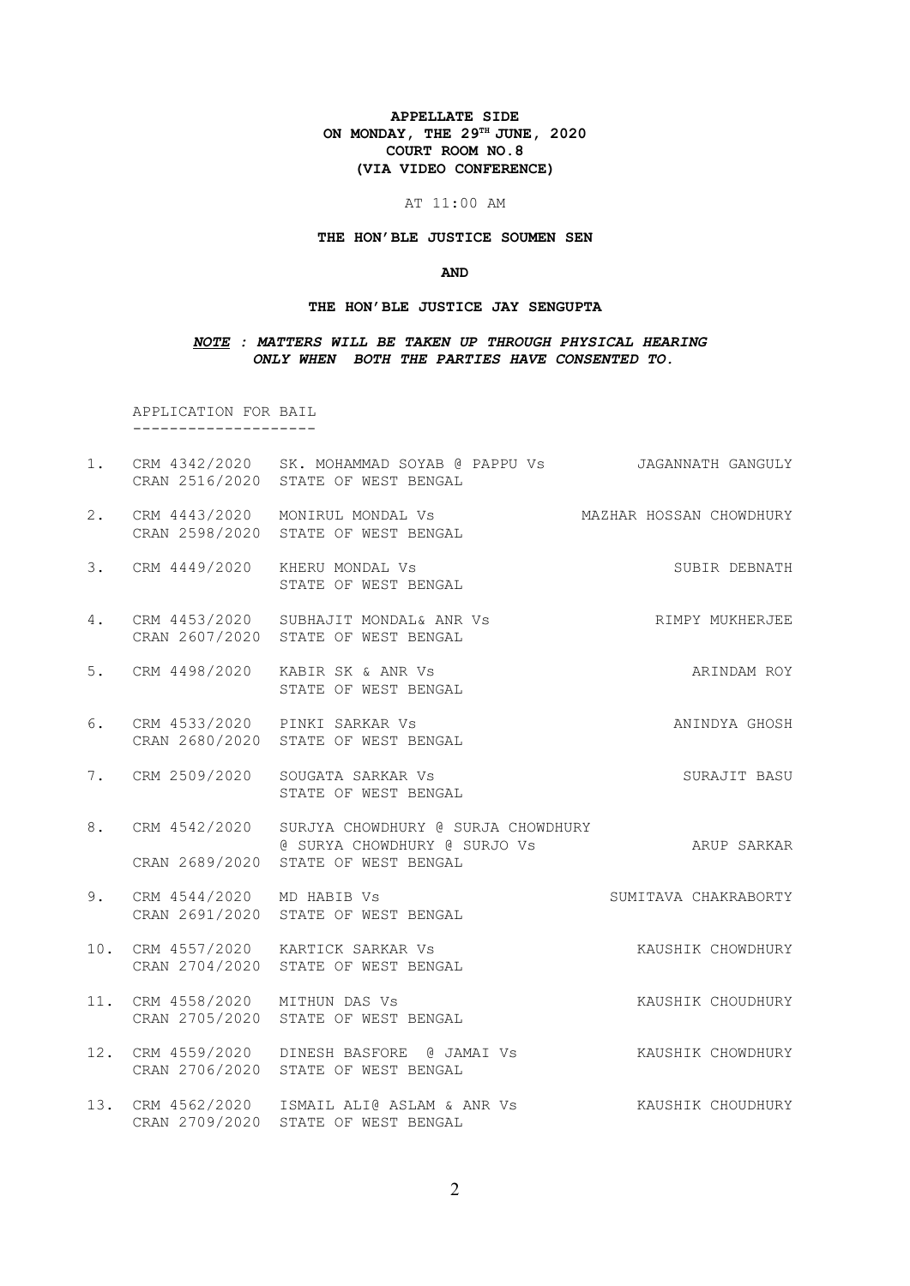# **APPELLATE SIDE ON MONDAY, THE 29TH JUNE, 2020 COURT ROOM NO.8 (VIA VIDEO CONFERENCE)**

#### AT 11:00 AM

#### **THE HON'BLE JUSTICE SOUMEN SEN**

#### **AND**

#### **THE HON'BLE JUSTICE JAY SENGUPTA**

# *NOTE : MATTERS WILL BE TAKEN UP THROUGH PHYSICAL HEARING ONLY WHEN BOTH THE PARTIES HAVE CONSENTED TO.*

APPLICATION FOR BAIL

--------------------

- 1. CRM 4342/2020 SK. MOHAMMAD SOYAB @ PAPPU Vs JAGANNATH GANGULY CRAN 2516/2020 STATE OF WEST BENGAL
- 2. CRM 4443/2020 MONIRUL MONDAL Vs MAZHAR HOSSAN CHOWDHURY CRAN 2598/2020 STATE OF WEST BENGAL
- 3. CRM 4449/2020 KHERU MONDAL Vs SUBIR DEBNATH STATE OF WEST BENGAL
- 4. CRM 4453/2020 SUBHAJIT MONDAL& ANR Vs RIMPY MUKHERJEE CRAN 2607/2020 STATE OF WEST BENGAL
- 5. CRM 4498/2020 KABIR SK & ANR Vs ARINDAM ROY STATE OF WEST BENGAL
- 6. CRM 4533/2020 PINKI SARKAR Vs ANINDYA GHOSH CRAN 2680/2020 STATE OF WEST BENGAL
- 7. CRM 2509/2020 SOUGATA SARKAR Vs SURAJIT BASU STATE OF WEST BENGAL
- 8. CRM 4542/2020 SURJYA CHOWDHURY @ SURJA CHOWDHURY @ SURYA CHOWDHURY @ SURJO Vs ARUP SARKAR CRAN 2689/2020 STATE OF WEST BENGAL
- 9. CRM 4544/2020 MD HABIB Vs SUMITAVA CHAKRABORTY CRAN 2691/2020 STATE OF WEST BENGAL
- 10. CRM 4557/2020 KARTICK SARKAR Vs KAUSHIK CHOWDHURY CRAN 2704/2020 STATE OF WEST BENGAL
- 11. CRM 4558/2020 MITHUN DAS Vs KAUSHIK CHOUDHURY CRAN 2705/2020 STATE OF WEST BENGAL
- 12. CRM 4559/2020 DINESH BASFORE @ JAMAI Vs KAUSHIK CHOWDHURY CRAN 2706/2020 STATE OF WEST BENGAL
- 13. CRM 4562/2020 ISMAIL ALI@ ASLAM & ANR Vs KAUSHIK CHOUDHURY CRAN 2709/2020 STATE OF WEST BENGAL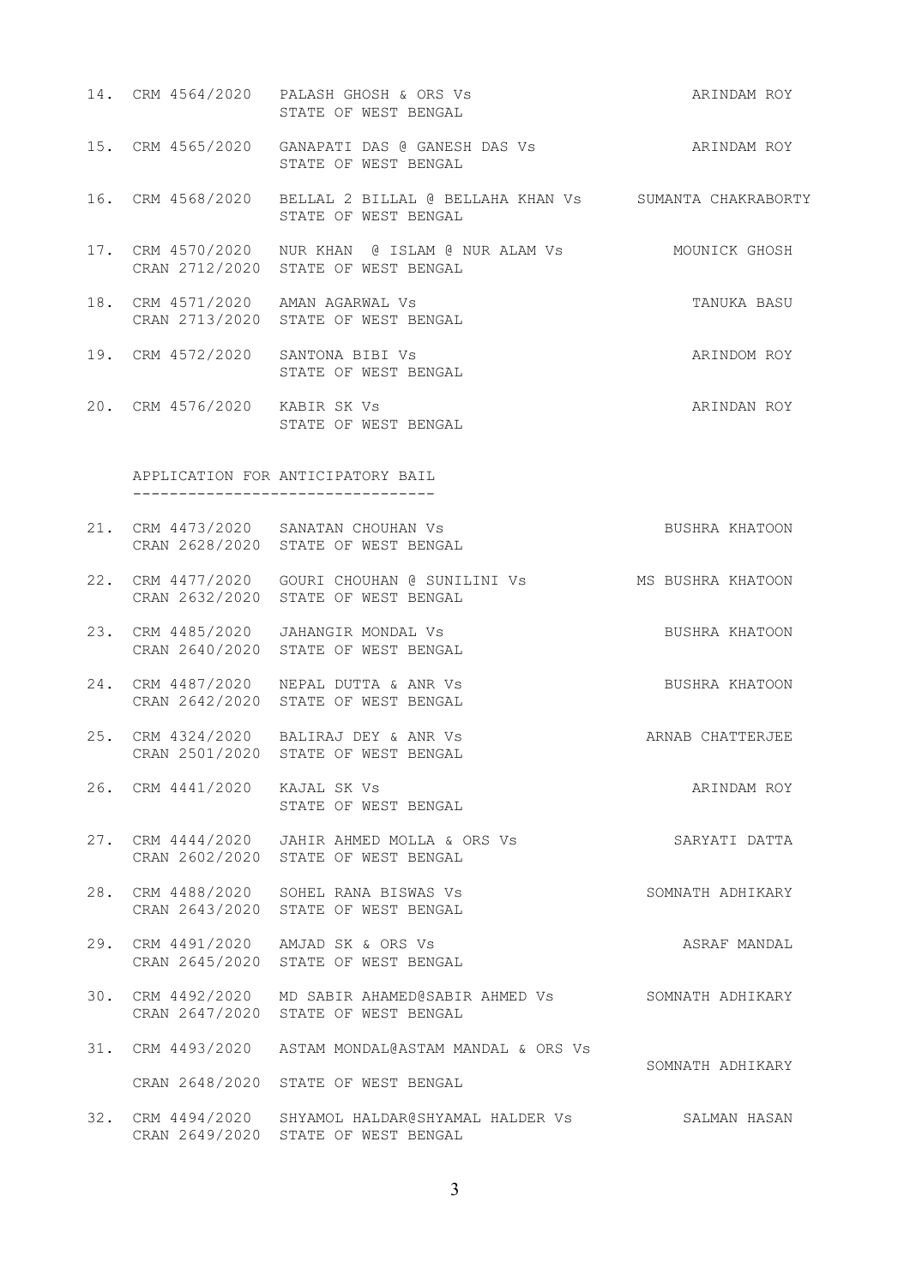|                               | 14. CRM 4564/2020 PALASH GHOSH & ORS Vs<br>STATE OF WEST BENGAL                                          | ARINDAM ROY      |
|-------------------------------|----------------------------------------------------------------------------------------------------------|------------------|
|                               | 15. CRM 4565/2020 GANAPATI DAS @ GANESH DAS Vs ARINDAM ROY<br>STATE OF WEST BENGAL                       |                  |
|                               | 16. CRM 4568/2020 BELLAL 2 BILLAL @ BELLAHA KHAN Vs SUMANTA CHAKRABORTY<br>STATE OF WEST BENGAL          |                  |
|                               | 17. CRM 4570/2020 NUR KHAN @ ISLAM @ NUR ALAM Vs MOUNICK GHOSH<br>CRAN 2712/2020 STATE OF WEST BENGAL    |                  |
|                               | 18. CRM 4571/2020 AMAN AGARWAL Vs<br>CRAN 2713/2020 STATE OF WEST BENGAL                                 | TANUKA BASU      |
|                               | 19. CRM 4572/2020 SANTONA BIBI Vs<br>STATE OF WEST BENGAL                                                | ARINDOM ROY      |
| 20. CRM 4576/2020 KABIR SK Vs | STATE OF WEST BENGAL                                                                                     | ARINDAN ROY      |
|                               | APPLICATION FOR ANTICIPATORY BAIL                                                                        |                  |
|                               | 21. CRM 4473/2020 SANATAN CHOUHAN Vs BUSHRA KHATOON<br>CRAN 2628/2020 STATE OF WEST BENGAL               |                  |
|                               | 22. CRM 4477/2020 GOURI CHOUHAN @ SUNILINI Vs MS BUSHRA KHATOON<br>CRAN 2632/2020 STATE OF WEST BENGAL   |                  |
|                               | 23. CRM 4485/2020 JAHANGIR MONDAL Vs<br>CRAN 2640/2020 STATE OF WEST BENGAL                              | BUSHRA KHATOON   |
|                               | 24. CRM 4487/2020 NEPAL DUTTA & ANR Vs<br>CRAN 2642/2020 STATE OF WEST BENGAL                            | BUSHRA KHATOON   |
|                               | 25. CRM 4324/2020 BALIRAJ DEY & ANR Vs<br>CRAN 2501/2020 STATE OF WEST BENGAL                            | ARNAB CHATTERJEE |
| 26. CRM 4441/2020 KAJAL SK Vs | STATE OF WEST BENGAL                                                                                     | ARINDAM ROY      |
|                               | 27. CRM 4444/2020 JAHIR AHMED MOLLA & ORS Vs<br>CRAN 2602/2020 STATE OF WEST BENGAL                      | SARYATI DATTA    |
|                               | 28. CRM 4488/2020 SOHEL RANA BISWAS Vs<br>CRAN 2643/2020 STATE OF WEST BENGAL                            | SOMNATH ADHIKARY |
|                               | 29. CRM 4491/2020 AMJAD SK & ORS Vs<br>CRAN 2645/2020 STATE OF WEST BENGAL                               | ASRAF MANDAL     |
|                               | 30. CRM 4492/2020 MD SABIR AHAMED@SABIR AHMED Vs SOMNATH ADHIKARY<br>CRAN 2647/2020 STATE OF WEST BENGAL |                  |
|                               | 31. CRM 4493/2020 ASTAM MONDAL@ASTAM MANDAL & ORS Vs                                                     | SOMNATH ADHIKARY |
|                               | CRAN 2648/2020 STATE OF WEST BENGAL                                                                      |                  |
|                               | 32. CRM 4494/2020 SHYAMOL HALDAR@SHYAMAL HALDER Vs<br>CRAN 2649/2020 STATE OF WEST BENGAL                | SALMAN HASAN     |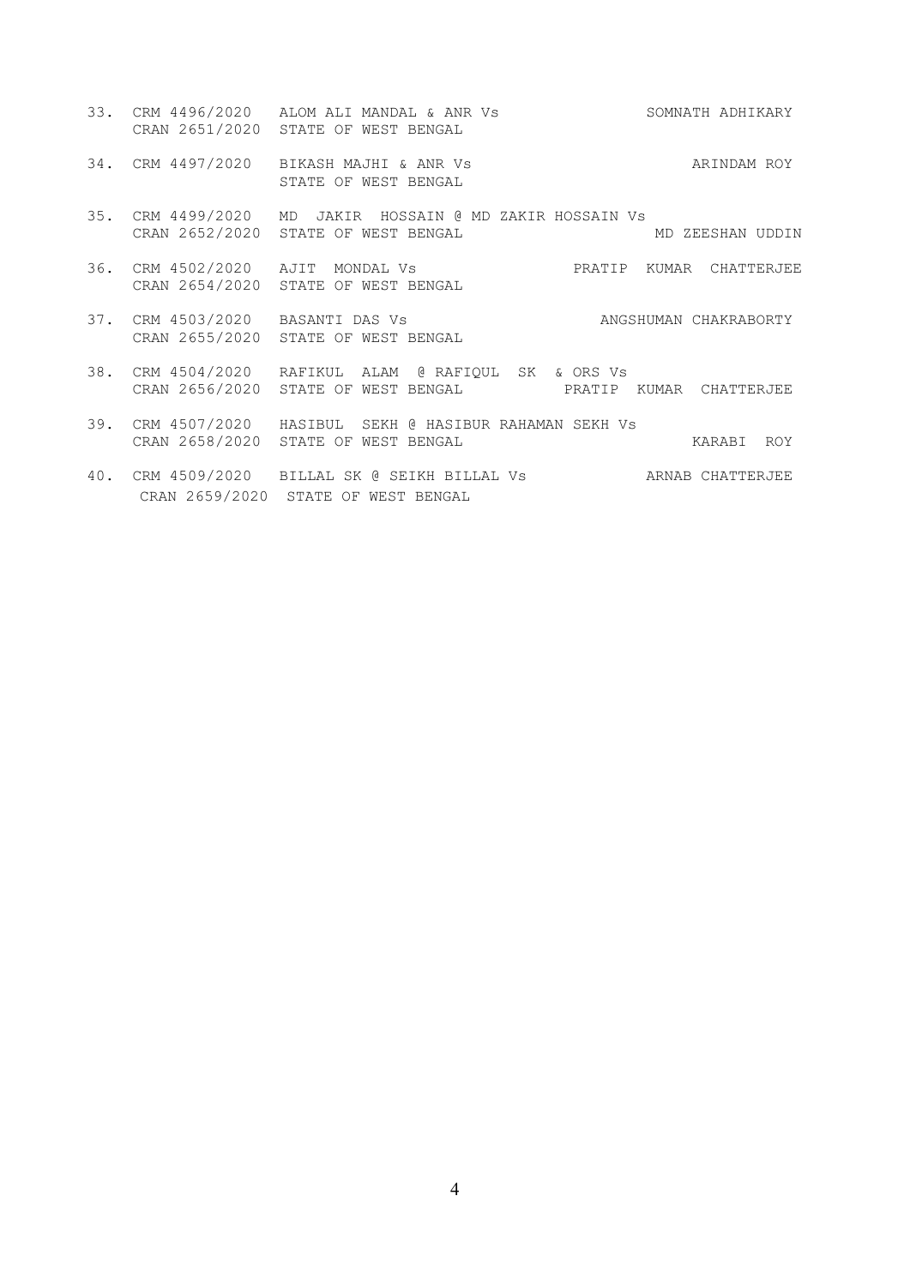- 33. CRM 4496/2020 ALOM ALI MANDAL & ANR Vs SOMNATH ADHIKARY CRAN 2651/2020 STATE OF WEST BENGAL
- 34. CRM 4497/2020 BIKASH MAJHI & ANR Vs ANAL ARINDAM ROY STATE OF WEST BENGAL
- 35. CRM 4499/2020 MD JAKIR HOSSAIN @ MD ZAKIR HOSSAIN Vs<br>CRAN 2652/2020 STATE OF WEST BENGAL MD MD ZEESHAN UDDIN CRAN 2652/2020 STATE OF WEST BENGAL
- 36. CRM 4502/2020 AJIT MONDAL Vs PRATIP KUMAR CHATTERJEE CRAN 2654/2020 STATE OF WEST BENGAL
- 37. CRM 4503/2020 BASANTI DAS Vs ANGSHUMAN CHAKRABORTY CRAN 2655/2020 STATE OF WEST BENGAL
- 38. CRM 4504/2020 RAFIKUL ALAM @ RAFIQUL SK & ORS Vs CRAN 2656/2020 STATE OF WEST BENGAL PRATIP KUMAR CHATTERJEE
- 39. CRM 4507/2020 HASIBUL SEKH @ HASIBUR RAHAMAN SEKH Vs CRAN 2658/2020 STATE OF WEST BENGAL KARABI ROY
- 40. CRM 4509/2020 BILLAL SK @ SEIKH BILLAL Vs ARNAB CHATTERJEE CRAN 2659/2020 STATE OF WEST BENGAL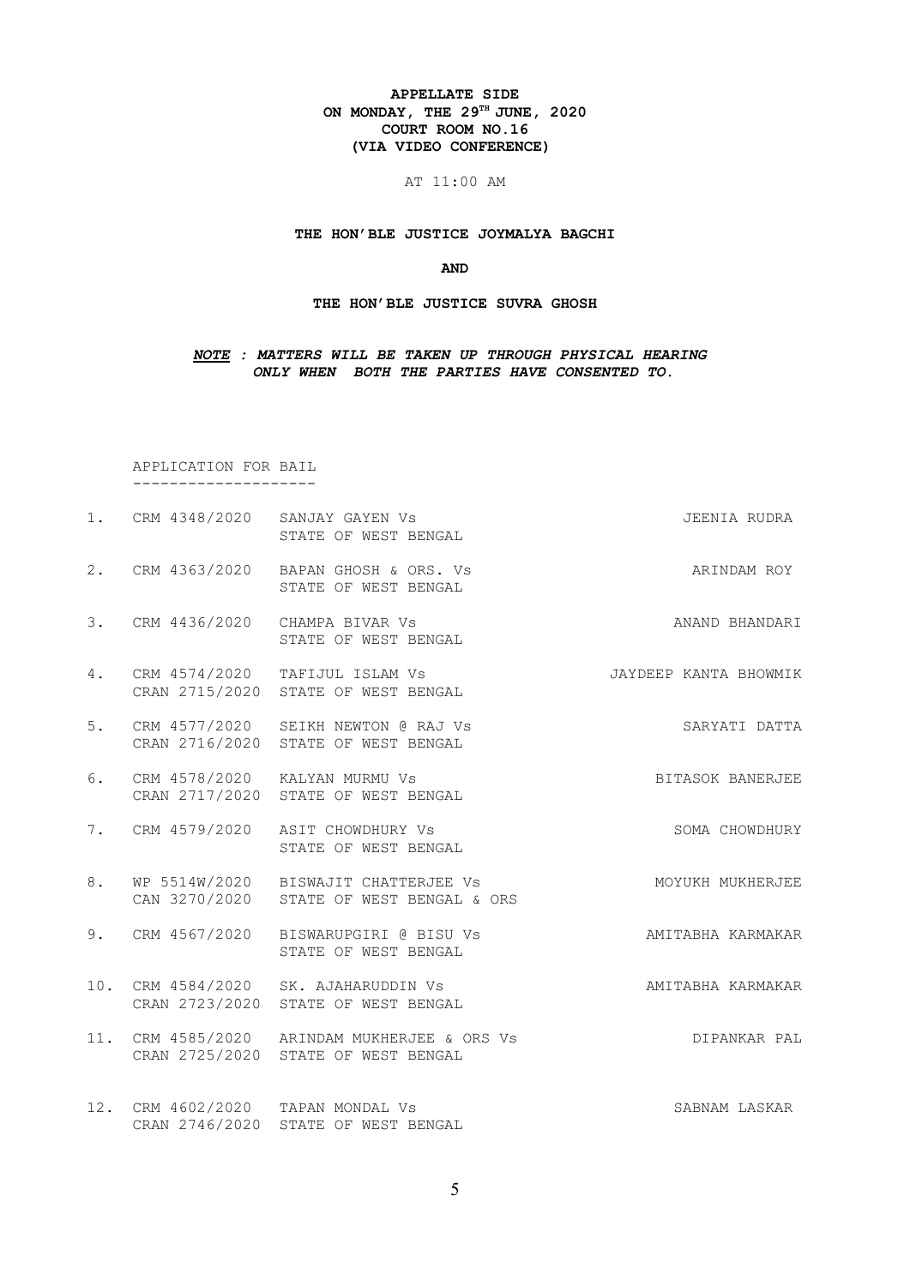# **APPELLATE SIDE ON MONDAY, THE 29TH JUNE, 2020 COURT ROOM NO.16 (VIA VIDEO CONFERENCE)**

AT 11:00 AM

# **THE HON'BLE JUSTICE JOYMALYA BAGCHI**

**AND**

#### **THE HON'BLE JUSTICE SUVRA GHOSH**

# *NOTE : MATTERS WILL BE TAKEN UP THROUGH PHYSICAL HEARING ONLY WHEN BOTH THE PARTIES HAVE CONSENTED TO.*

 APPLICATION FOR BAIL --------------------

|    | 1. CRM 4348/2020 SANJAY GAYEN Vs<br>STATE OF WEST BENGAL                            | JEENIA RUDRA          |
|----|-------------------------------------------------------------------------------------|-----------------------|
|    | 2. CRM 4363/2020 BAPAN GHOSH & ORS. Vs<br>STATE OF WEST BENGAL                      | ARINDAM ROY           |
| 3. | CRM 4436/2020 CHAMPA BIVAR Vs<br>STATE OF WEST BENGAL                               | ANAND BHANDARI        |
| 4. | CRM 4574/2020 TAFIJUL ISLAM Vs<br>CRAN 2715/2020 STATE OF WEST BENGAL               | JAYDEEP KANTA BHOWMIK |
| 5. | CRM 4577/2020 SEIKH NEWTON @ RAJ Vs<br>CRAN 2716/2020 STATE OF WEST BENGAL          | SARYATI DATTA         |
| 6. | CRM 4578/2020 KALYAN MURMU Vs<br>CRAN 2717/2020 STATE OF WEST BENGAL                | BITASOK BANERJEE      |
|    | 7. CRM 4579/2020 ASIT CHOWDHURY Vs<br>STATE OF WEST BENGAL                          | SOMA CHOWDHURY        |
| 8. | WP 5514W/2020 BISWAJIT CHATTERJEE Vs<br>CAN 3270/2020 STATE OF WEST BENGAL & ORS    | MOYUKH MUKHERJEE      |
| 9. | CRM 4567/2020 BISWARUPGIRI @ BISU Vs<br>STATE OF WEST BENGAL                        | AMITABHA KARMAKAR     |
|    | 10. CRM 4584/2020 SK. AJAHARUDDIN Vs<br>CRAN 2723/2020 STATE OF WEST BENGAL         | AMITABHA KARMAKAR     |
|    | 11. CRM 4585/2020 ARINDAM MUKHERJEE & ORS Vs<br>CRAN 2725/2020 STATE OF WEST BENGAL | DIPANKAR PAL          |
|    | 12. CRM 4602/2020 TAPAN MONDAL Vs<br>CRAN 2746/2020 STATE OF WEST BENGAL            | SABNAM LASKAR         |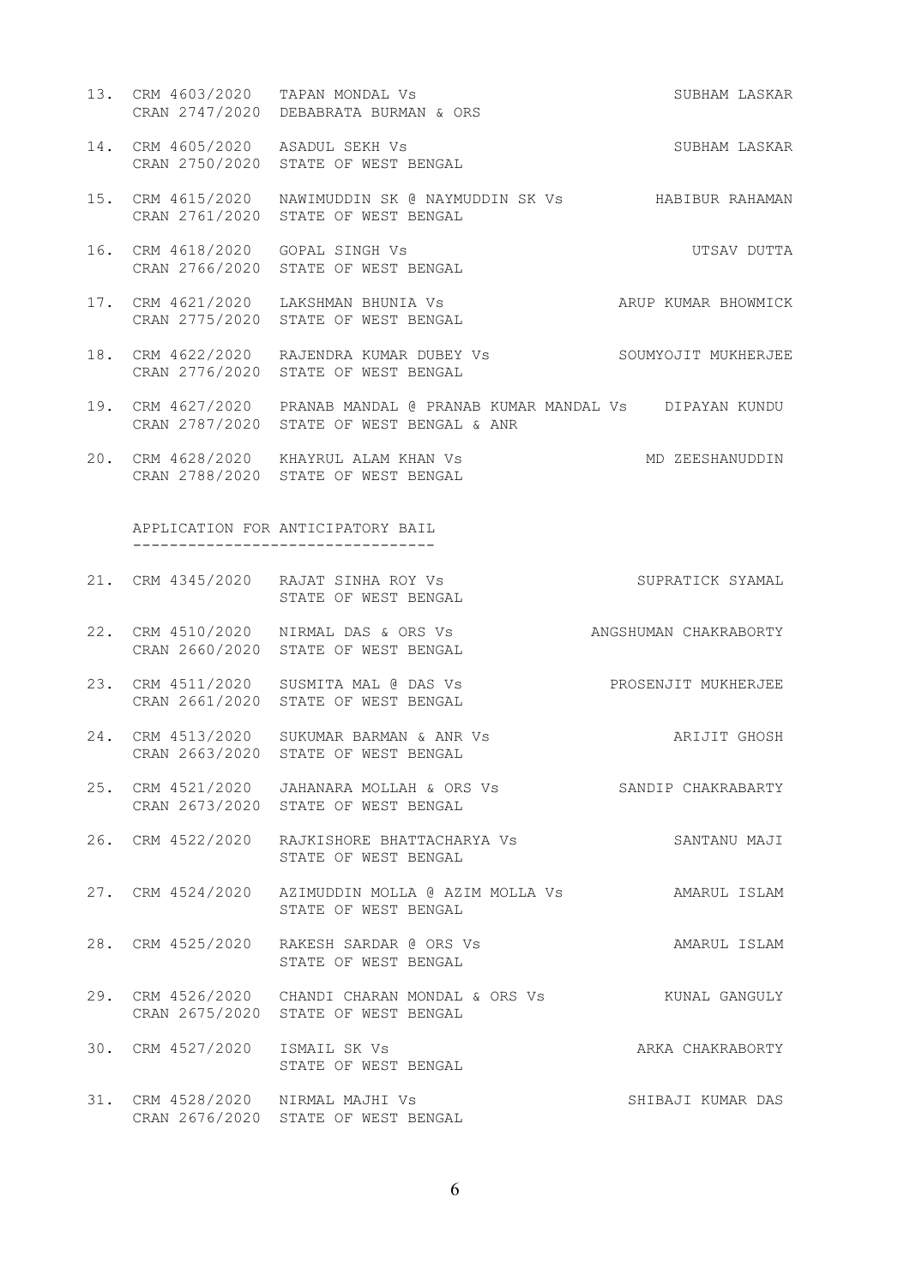- 13. CRM 4603/2020 TAPAN MONDAL Vs SUBHAM LASKAR CRAN 2747/2020 DEBABRATA BURMAN & ORS
- 14. CRM 4605/2020 ASADUL SEKH Vs SUBHAM LASKAR CRAN 2750/2020 STATE OF WEST BENGAL
- 15. CRM 4615/2020 NAWIMUDDIN SK @ NAYMUDDIN SK Vs HABIBUR RAHAMAN CRAN 2761/2020 STATE OF WEST BENGAL
- 16. CRM 4618/2020 GOPAL SINGH Vs **UTSAV DUTTA** CRAN 2766/2020 STATE OF WEST BENGAL
- 17. CRM 4621/2020 LAKSHMAN BHUNIA Vs ARUP KUMAR BHOWMICK CRAN 2775/2020 STATE OF WEST BENGAL
- 18. CRM 4622/2020 RAJENDRA KUMAR DUBEY Vs SOUMYOJIT MUKHERJEE CRAN 2776/2020 STATE OF WEST BENGAL
- 19. CRM 4627/2020 PRANAB MANDAL @ PRANAB KUMAR MANDAL Vs DIPAYAN KUNDU CRAN 2787/2020 STATE OF WEST BENGAL & ANR
- 20. CRM 4628/2020 KHAYRUL ALAM KHAN Vs MD ZEESHANUDDIN CRAN 2788/2020 STATE OF WEST BENGAL

 APPLICATION FOR ANTICIPATORY BAIL ---------------------------------

- 21. CRM 4345/2020 RAJAT SINHA ROY Vs SUPRATICK SYAMAL STATE OF WEST BENGAL
- 22. CRM 4510/2020 NIRMAL DAS & ORS Vs ANGSHUMAN CHAKRABORTY CRAN 2660/2020 STATE OF WEST BENGAL
- 23. CRM 4511/2020 SUSMITA MAL @ DAS Vs PROSENJIT MUKHERJEE CRAN 2661/2020 STATE OF WEST BENGAL
- 24. CRM 4513/2020 SUKUMAR BARMAN & ANR Vs ARIJIT GHOSH CRAN 2663/2020 STATE OF WEST BENGAL
- 25. CRM 4521/2020 JAHANARA MOLLAH & ORS Vs SANDIP CHAKRABARTY CRAN 2673/2020 STATE OF WEST BENGAL
- 26. CRM 4522/2020 RAJKISHORE BHATTACHARYA Vs SANTANU MAJI STATE OF WEST BENGAL
- 27. CRM 4524/2020 AZIMUDDIN MOLLA @ AZIM MOLLA Vs AMARUL ISLAM STATE OF WEST BENGAL
- 28. CRM 4525/2020 RAKESH SARDAR @ ORS Vs AMARUL ISLAM STATE OF WEST BENGAL
- 29. CRM 4526/2020 CHANDI CHARAN MONDAL & ORS Vs KUNAL GANGULY CRAN 2675/2020 STATE OF WEST BENGAL
- 30. CRM 4527/2020 ISMAIL SK Vs ARKA CHAKRABORTY STATE OF WEST BENGAL
- 31. CRM 4528/2020 NIRMAL MAJHI Vs SHIBAJI KUMAR DAS CRAN 2676/2020 STATE OF WEST BENGAL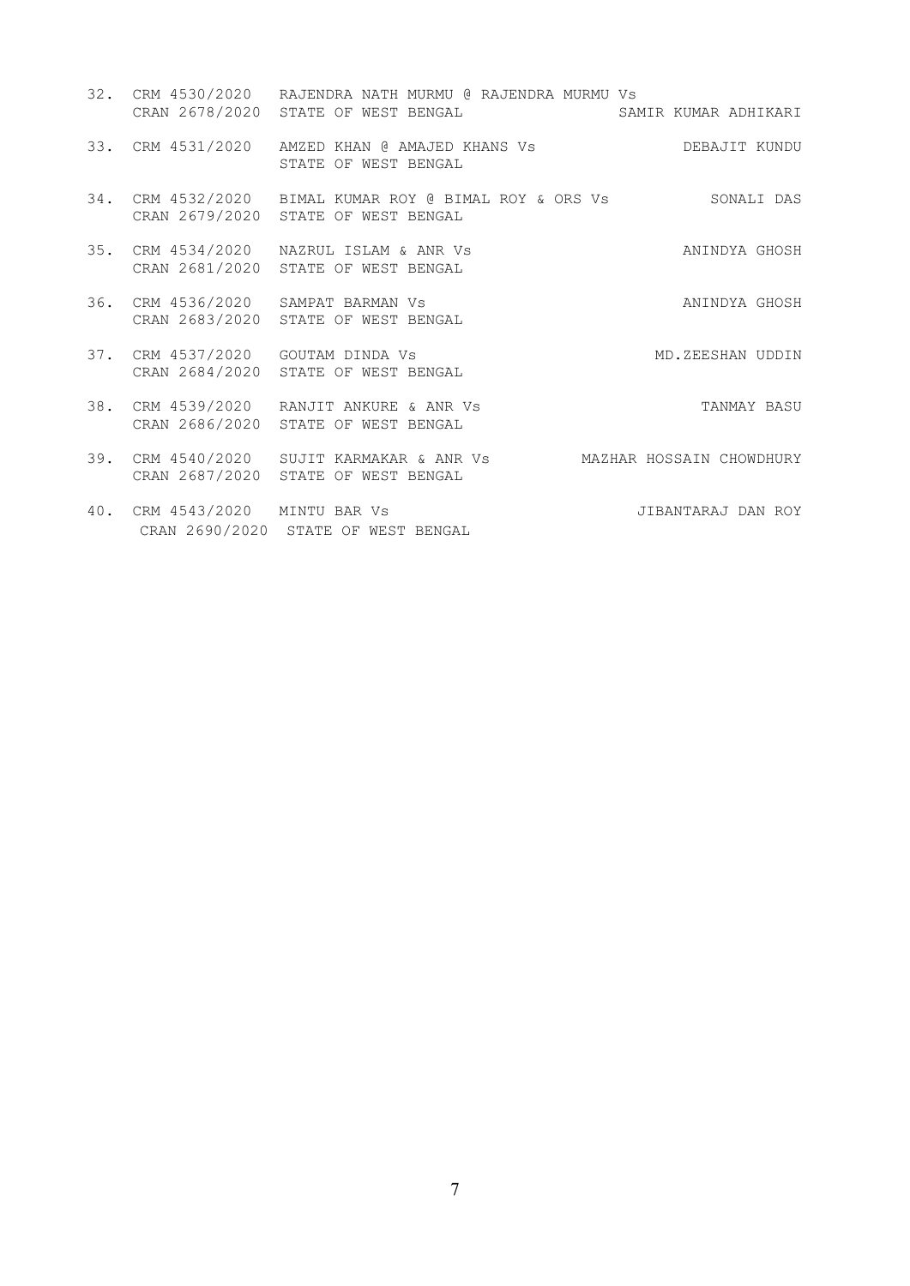|     |                                   | 32. CRM 4530/2020 RAJENDRA NATH MURMU @ RAJENDRA MURMU Vs<br>CRAN 2678/2020 STATE OF WEST BENGAL          | SAMIR KUMAR ADHIKARI |
|-----|-----------------------------------|-----------------------------------------------------------------------------------------------------------|----------------------|
|     |                                   | 33. CRM 4531/2020 AMZED KHAN @ AMAJED KHANS Vs<br>STATE OF WEST BENGAL                                    | DEBAJIT KUNDU        |
|     |                                   | 34. CRM 4532/2020 BIMAL KUMAR ROY @ BIMAL ROY & ORS Vs SONALI DAS<br>CRAN 2679/2020 STATE OF WEST BENGAL  |                      |
|     |                                   | 35. CRM 4534/2020 NAZRUL ISLAM & ANR Vs<br>CRAN 2681/2020 STATE OF WEST BENGAL                            | ANINDYA GHOSH        |
|     |                                   | 36. CRM 4536/2020 SAMPAT BARMAN Vs<br>CRAN 2683/2020 STATE OF WEST BENGAL                                 | ANINDYA GHOSH        |
|     | 37. CRM 4537/2020 GOUTAM DINDA Vs | CRAN 2684/2020 STATE OF WEST BENGAL                                                                       | MD.ZEESHAN UDDIN     |
|     |                                   | 38. CRM 4539/2020 RANJIT ANKURE & ANR Vs<br>CRAN 2686/2020 STATE OF WEST BENGAL                           | TANMAY BASU          |
|     |                                   | 39. CRM 4540/2020 SUJIT KARMAKAR & ANR Vs MAZHAR HOSSAIN CHOWDHURY<br>CRAN 2687/2020 STATE OF WEST BENGAL |                      |
| 40. | CRM 4543/2020 MINTU BAR Vs        | CRAN 2690/2020 STATE OF WEST BENGAL                                                                       | JIBANTARAJ DAN ROY   |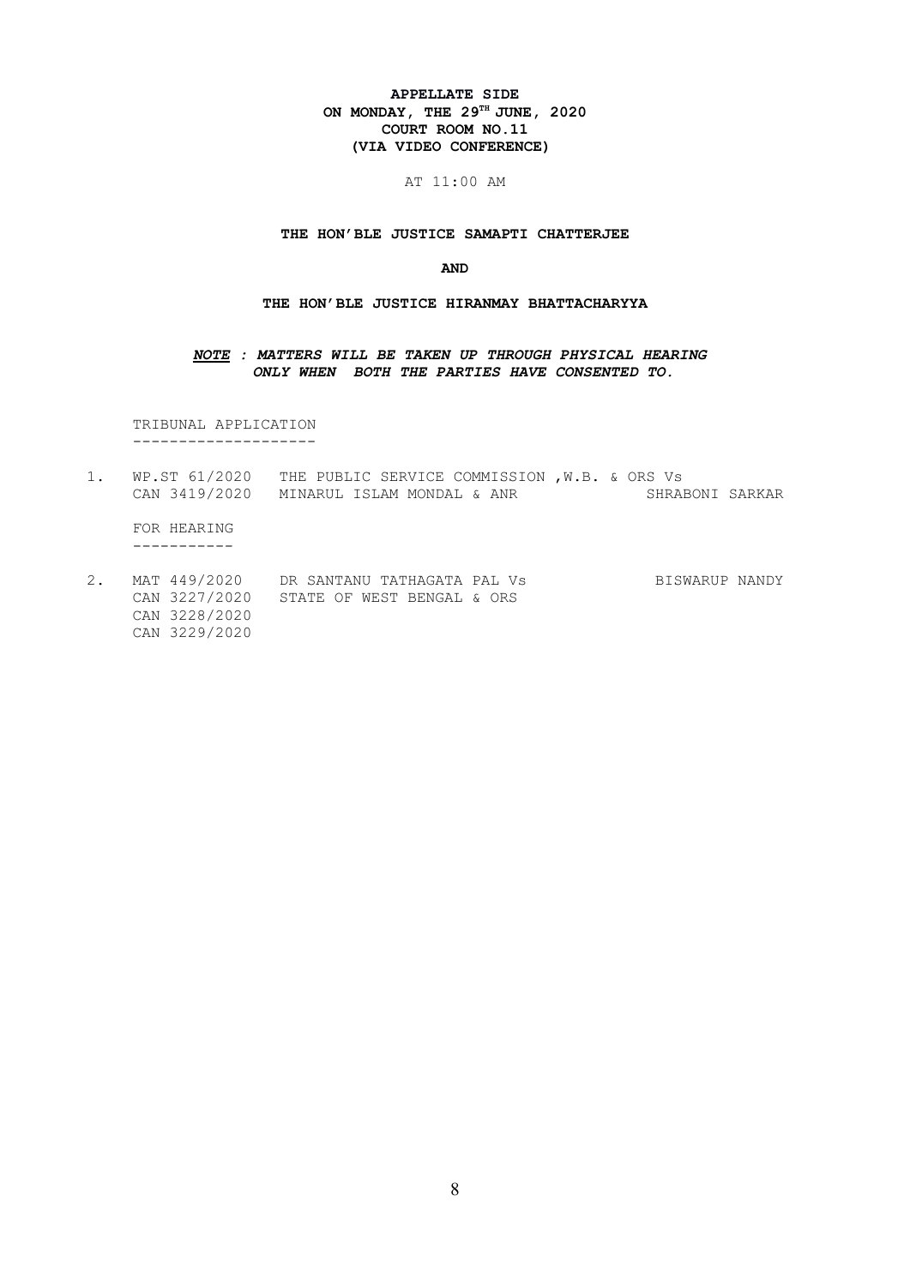# **APPELLATE SIDE ON MONDAY, THE 29TH JUNE, 2020 COURT ROOM NO.11 (VIA VIDEO CONFERENCE)**

# AT 11:00 AM

#### **THE HON'BLE JUSTICE SAMAPTI CHATTERJEE**

#### **AND**

#### **THE HON'BLE JUSTICE HIRANMAY BHATTACHARYYA**

### *NOTE : MATTERS WILL BE TAKEN UP THROUGH PHYSICAL HEARING ONLY WHEN BOTH THE PARTIES HAVE CONSENTED TO.*

 TRIBUNAL APPLICATION --------------------

- 1. WP.ST 61/2020 THE PUBLIC SERVICE COMMISSION , W.B. & ORS Vs<br>CAN 3419/2020 MINARUL ISLAM MONDAL & ANR SHRABONI SARKAR CAN 3419/2020 MINARUL ISLAM MONDAL & ANR FOR HEARING -----------
- 2. MAT 449/2020 DR SANTANU TATHAGATA PAL Vs BISWARUP NANDY CAN 3227/2020 STATE OF WEST BENGAL & ORS CAN 3228/2020 CAN 3229/2020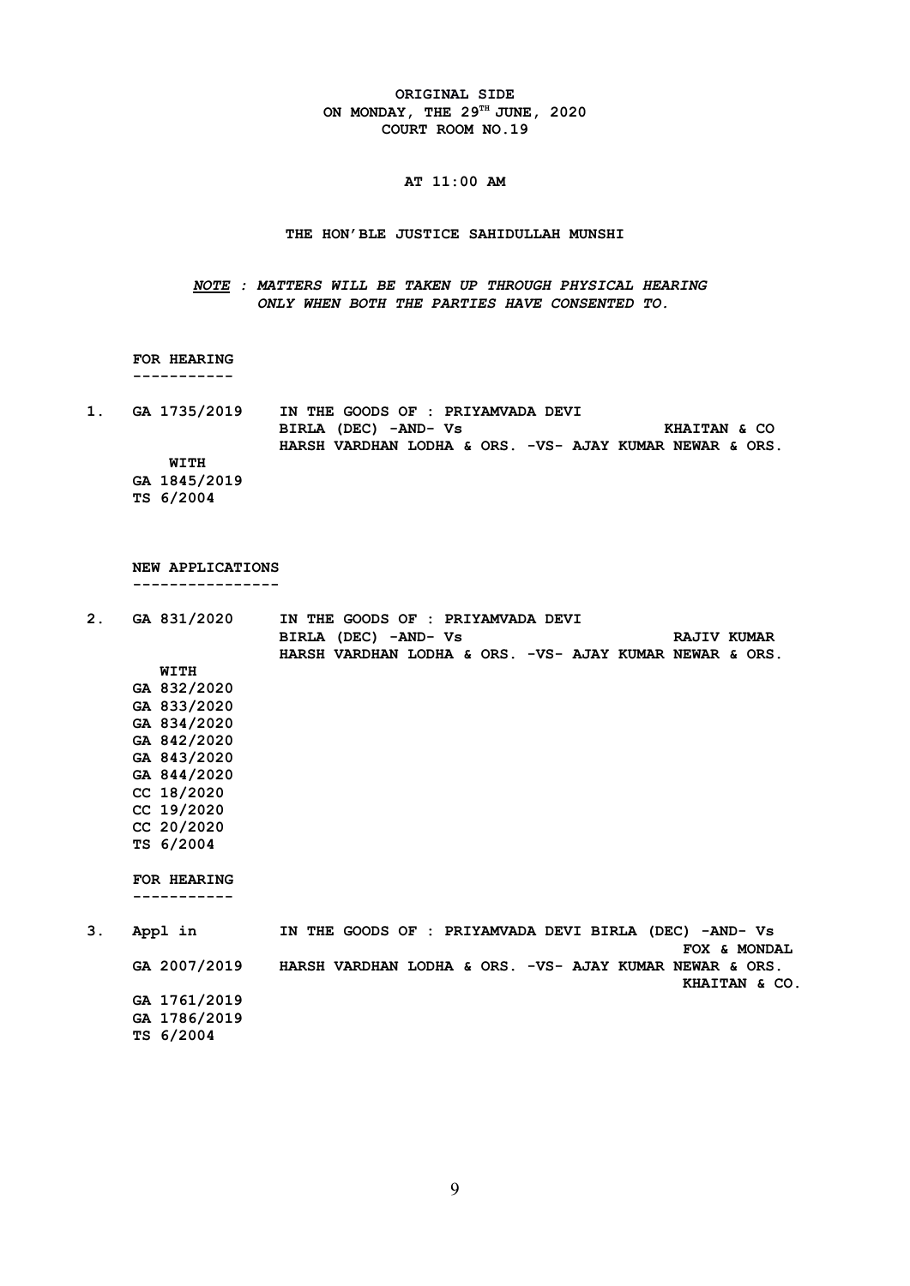**ORIGINAL SIDE ON MONDAY, THE 29TH JUNE, 2020 COURT ROOM NO.19**

# **AT 11:00 AM**

#### **THE HON'BLE JUSTICE SAHIDULLAH MUNSHI**

*NOTE : MATTERS WILL BE TAKEN UP THROUGH PHYSICAL HEARING ONLY WHEN BOTH THE PARTIES HAVE CONSENTED TO.*

 **FOR HEARING -----------**

**1. GA 1735/2019 IN THE GOODS OF : PRIYAMVADA DEVI BIRLA (DEC) -AND- Vs KHAITAN & CO HARSH VARDHAN LODHA & ORS. -VS- AJAY KUMAR NEWAR & ORS. WITH GA 1845/2019 TS 6/2004**

 **NEW APPLICATIONS**

 **----------------**

| 2. | GA 831/2020<br>IN THE GOODS OF : PRIYAMVADA DEVI |                                                         |
|----|--------------------------------------------------|---------------------------------------------------------|
|    |                                                  | BIRLA (DEC) -AND- Vs<br><b>RAJIV KUMAR</b>              |
|    |                                                  | HARSH VARDHAN LODHA & ORS. -VS- AJAY KUMAR NEWAR & ORS. |
|    | WITH                                             |                                                         |
|    | GA 832/2020                                      |                                                         |
|    | GA 833/2020                                      |                                                         |
|    | GA 834/2020                                      |                                                         |
|    | GA 842/2020                                      |                                                         |
|    | GA 843/2020                                      |                                                         |
|    | GA 844/2020                                      |                                                         |
|    | CC 18/2020                                       |                                                         |
|    | CC 19/2020                                       |                                                         |
|    | CC 20/2020                                       |                                                         |
|    | TS 6/2004                                        |                                                         |
|    |                                                  |                                                         |
|    | FOR HEARING                                      |                                                         |
|    |                                                  |                                                         |
|    |                                                  |                                                         |
| 3. | Appl in                                          | IN THE GOODS OF : PRIYAMVADA DEVI BIRLA (DEC) -AND- Vs  |
|    |                                                  | FOX & MONDAL                                            |
|    | GA 2007/2019                                     | HARSH VARDHAN LODHA & ORS. -VS- AJAY KUMAR NEWAR & ORS. |
|    |                                                  | KHAITAN & CO.                                           |
|    | GA 1761/2019                                     |                                                         |
|    | GA 1786/2019                                     |                                                         |
|    |                                                  |                                                         |

 **TS 6/2004**

9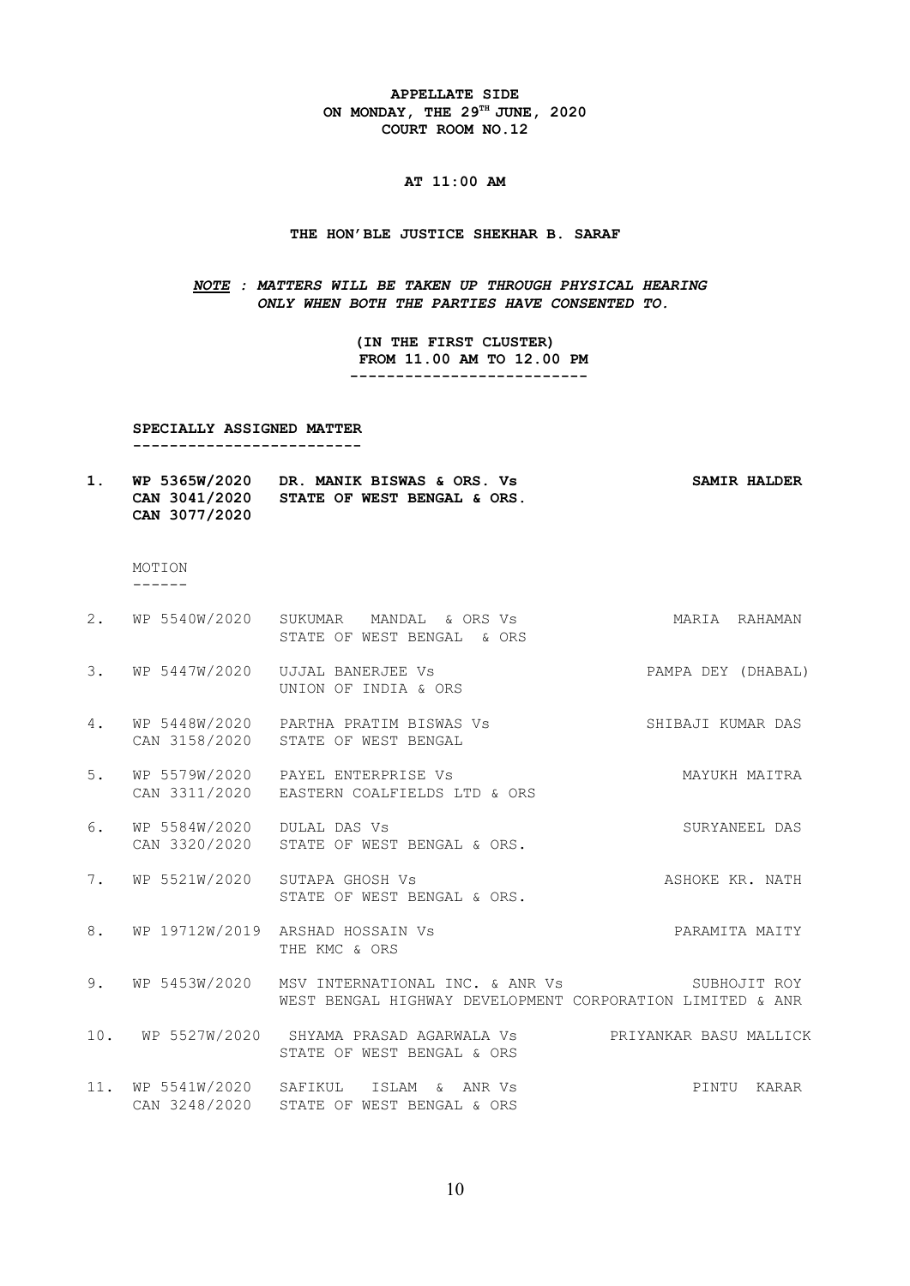**APPELLATE SIDE ON MONDAY, THE 29TH JUNE, 2020 COURT ROOM NO.12**

# **AT 11:00 AM**

#### **THE HON'BLE JUSTICE SHEKHAR B. SARAF**

*NOTE : MATTERS WILL BE TAKEN UP THROUGH PHYSICAL HEARING ONLY WHEN BOTH THE PARTIES HAVE CONSENTED TO.*

> **(IN THE FIRST CLUSTER) FROM 11.00 AM TO 12.00 PM --------------------------**

 **SPECIALLY ASSIGNED MATTER** 

 **-------------------------** 

**1. WP 5365W/2020 DR. MANIK BISWAS & ORS. Vs SAMIR HALDER CAN 3041/2020 STATE OF WEST BENGAL & ORS. CAN 3077/2020**

 MOTION ------

|     |                            | 2. WP 5540W/2020 SUKUMAR MANDAL & ORS Vs<br>STATE OF WEST BENGAL & ORS                                                              | MARIA RAHAMAN          |
|-----|----------------------------|-------------------------------------------------------------------------------------------------------------------------------------|------------------------|
| 3.  |                            | WP 5447W/2020 UJJAL BANERJEE Vs<br>UNION OF INDIA & ORS                                                                             | PAMPA DEY (DHABAL)     |
| 4.  |                            | WP 5448W/2020 PARTHA PRATIM BISWAS Vs<br>CAN 3158/2020 STATE OF WEST BENGAL                                                         | SHIBAJI KUMAR DAS      |
| 5.  |                            | WP 5579W/2020 PAYEL ENTERPRISE Vs<br>CAN 3311/2020 EASTERN COALFIELDS LTD & ORS                                                     | MAYUKH MAITRA          |
| 6.  | WP 5584W/2020 DULAL DAS Vs | CAN 3320/2020 STATE OF WEST BENGAL & ORS.                                                                                           | SURYANEEL DAS          |
| 7.  | WP 5521W/2020              | SUTAPA GHOSH Vs<br>STATE OF WEST BENGAL & ORS.                                                                                      | ASHOKE KR. NATH        |
| 8.  |                            | WP 19712W/2019 ARSHAD HOSSAIN Vs<br>THE KMC & ORS                                                                                   | PARAMITA MAITY         |
| 9.  |                            | WP 5453W/2020 MSV INTERNATIONAL INC. & ANR Vs             SUBHOJIT ROY<br>WEST BENGAL HIGHWAY DEVELOPMENT CORPORATION LIMITED & ANR |                        |
| 10. |                            | WP 5527W/2020 SHYAMA PRASAD AGARWALA Vs<br>STATE OF WEST BENGAL & ORS                                                               | PRIYANKAR BASU MALLICK |
| 11. | WP 5541W/2020 SAFIKUL      | ISLAM & ANR Vs<br>CAN 3248/2020 STATE OF WEST BENGAL & ORS                                                                          | PINTU KARAR            |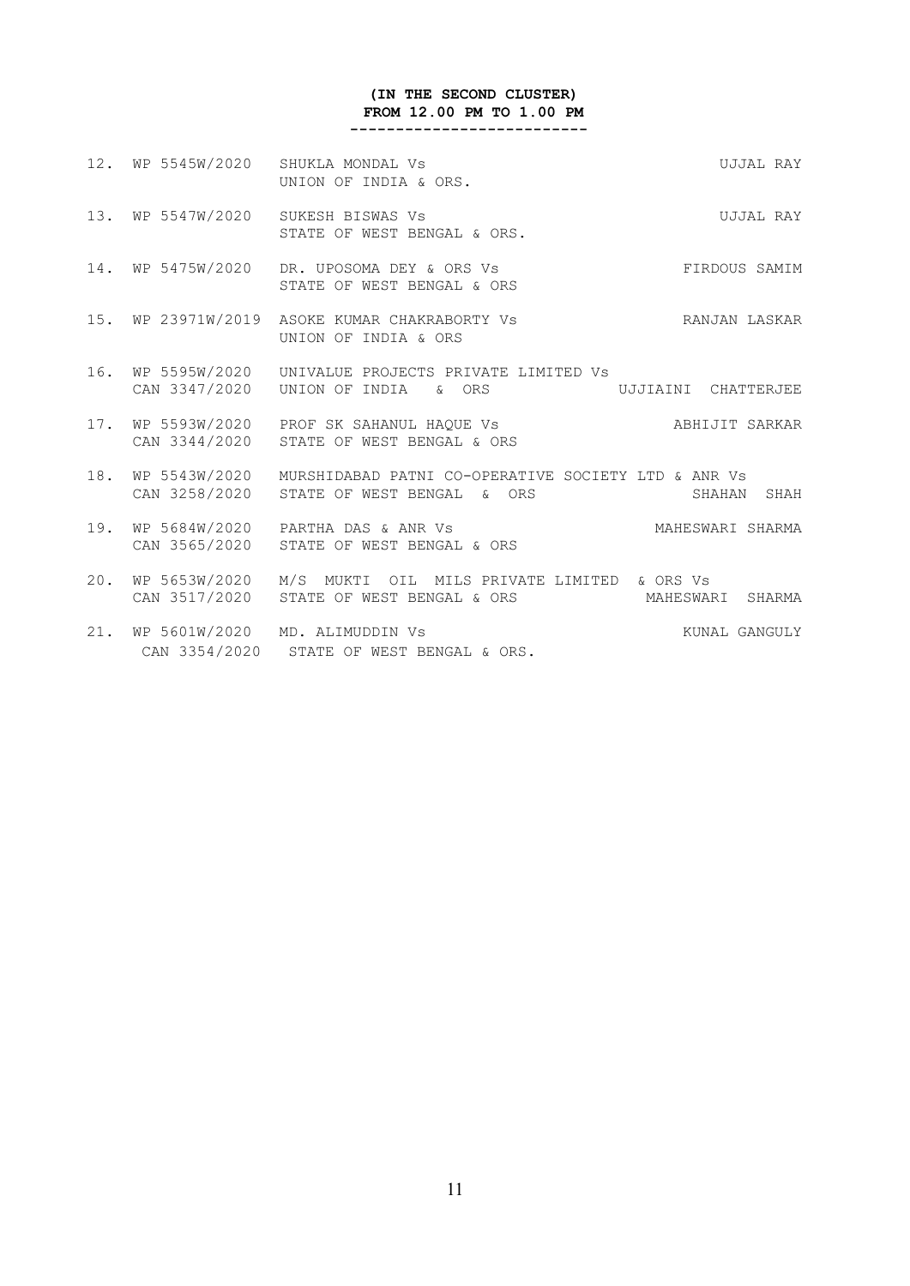# **(IN THE SECOND CLUSTER) FROM 12.00 PM TO 1.00 PM**

 **--------------------------**

|     | 12. WP 5545W/2020 | SHUKLA MONDAL Vs<br>UNION OF INDIA & ORS.                                                                            | UJJAL RAY           |
|-----|-------------------|----------------------------------------------------------------------------------------------------------------------|---------------------|
|     | 13. WP 5547W/2020 | SUKESH BISWAS Vs<br>STATE OF WEST BENGAL & ORS.                                                                      | UJJAL RAY           |
|     | 14. WP 5475W/2020 | DR. UPOSOMA DEY & ORS Vs<br>STATE OF WEST BENGAL & ORS                                                               | FIRDOUS SAMIM       |
| 15. |                   | WP 23971W/2019 ASOKE KUMAR CHAKRABORTY Vs<br>UNION OF INDIA & ORS                                                    | RANJAN LASKAR       |
| 16. | WP 5595W/2020     | UNIVALUE PROJECTS PRIVATE LIMITED VS<br>CAN 3347/2020    UNION OF INDIA    &    ORS                                  | UJJIAINI CHATTERJEE |
|     |                   | 17. WP 5593W/2020 PROF SK SAHANUL HAOUE Vs<br>CAN 3344/2020 STATE OF WEST BENGAL & ORS                               | ABHIJIT SARKAR      |
|     |                   | 18. WP 5543W/2020 MURSHIDABAD PATNI CO-OPERATIVE SOCIETY LTD & ANR Vs<br>CAN 3258/2020 STATE OF WEST BENGAL<br>& ORS | SHAHAN SHAH         |
|     |                   | 19. WP 5684W/2020 PARTHA DAS & ANR Vs<br>CAN 3565/2020 STATE OF WEST BENGAL & ORS                                    | MAHESWARI SHARMA    |
| 20. | WP 5653W/2020     | M/S MUKTI OIL MILS PRIVATE LIMITED & ORS Vs<br>CAN 3517/2020 STATE OF WEST BENGAL & ORS                              | MAHESWARI SHARMA    |
| 21. |                   | WP 5601W/2020 MD. ALIMUDDIN Vs<br>CAN 3354/2020 STATE OF WEST BENGAL & ORS.                                          | KUNAL GANGULY       |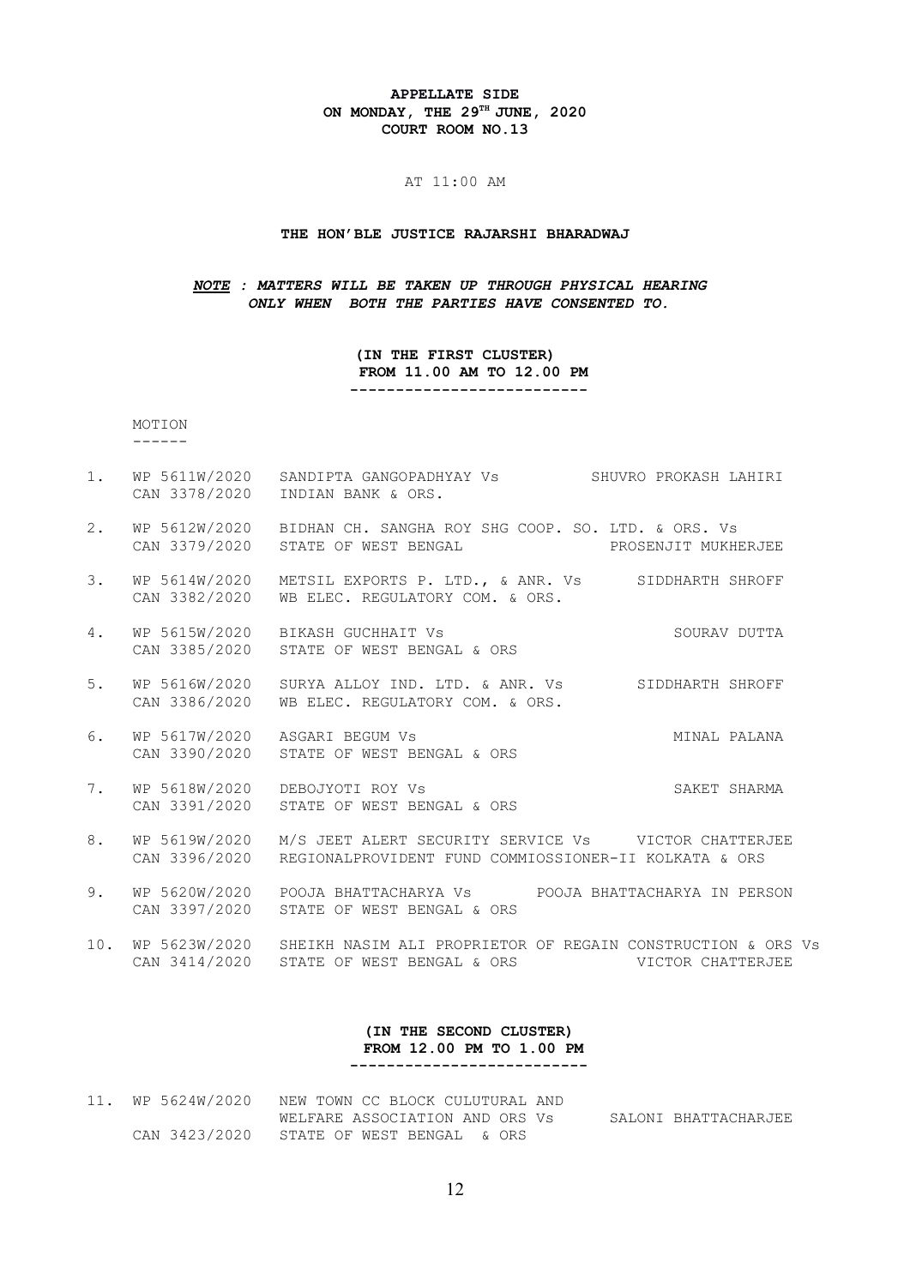#### **APPELLATE SIDE ON MONDAY, THE 29TH JUNE, 2020 COURT ROOM NO.13**

#### AT 11:00 AM

#### **THE HON'BLE JUSTICE RAJARSHI BHARADWAJ**

#### *NOTE : MATTERS WILL BE TAKEN UP THROUGH PHYSICAL HEARING ONLY WHEN BOTH THE PARTIES HAVE CONSENTED TO.*

#### **(IN THE FIRST CLUSTER) FROM 11.00 AM TO 12.00 PM --------------------------**

 MOTION ------

- 1. WP 5611W/2020 SANDIPTA GANGOPADHYAY Vs SHUVRO PROKASH LAHIRI CAN 3378/2020 INDIAN BANK & ORS.
- 2. WP 5612W/2020 BIDHAN CH. SANGHA ROY SHG COOP. SO. LTD. & ORS. Vs CAN 3379/2020 STATE OF WEST BENGAL PROSENJIT MUKHERJEE
- 3. WP 5614W/2020 METSIL EXPORTS P. LTD., & ANR. Vs SIDDHARTH SHROFF CAN 3382/2020 WB ELEC. REGULATORY COM. & ORS.
- 4. WP 5615W/2020 BIKASH GUCHHAIT Vs SOURAV DUTTA CAN 3385/2020 STATE OF WEST BENGAL & ORS
- 5. WP 5616W/2020 SURYA ALLOY IND. LTD. & ANR. Vs SIDDHARTH SHROFF CAN 3386/2020 WB ELEC. REGULATORY COM. & ORS.
- 6. WP 5617W/2020 ASGARI BEGUM Vs MINAL PALANA CAN 3390/2020 STATE OF WEST BENGAL & ORS
- 7. WP 5618W/2020 DEBOJYOTI ROY Vs SAKET SHARMA CAN 3391/2020 STATE OF WEST BENGAL & ORS
- 8. WP 5619W/2020 M/S JEET ALERT SECURITY SERVICE Vs VICTOR CHATTERJEE CAN 3396/2020 REGIONALPROVIDENT FUND COMMIOSSIONER-II KOLKATA & ORS
- 9. WP 5620W/2020 POOJA BHATTACHARYA Vs POOJA BHATTACHARYA IN PERSON CAN 3397/2020 STATE OF WEST BENGAL & ORS
- 10. WP 5623W/2020 SHEIKH NASIM ALI PROPRIETOR OF REGAIN CONSTRUCTION & ORS Vs CAN 3414/2020 STATE OF WEST BENGAL & ORS VICTOR CHATTERJEE

#### **(IN THE SECOND CLUSTER) FROM 12.00 PM TO 1.00 PM --------------------------**

11. WP 5624W/2020 NEW TOWN CC BLOCK CULUTURAL AND WELFARE ASSOCIATION AND ORS Vs SALONI BHATTACHARJEE CAN 3423/2020 STATE OF WEST BENGAL & ORS